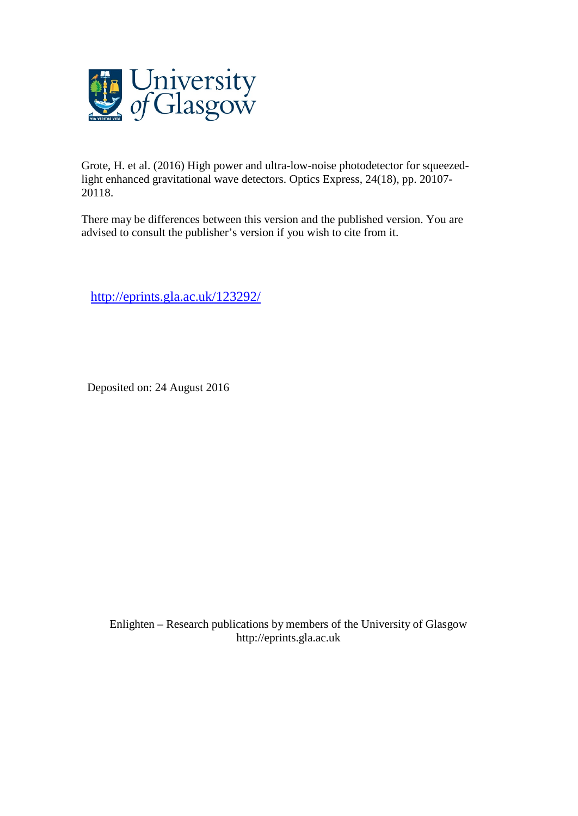

Grote, H. et al. (2016) High power and ultra-low-noise photodetector for squeezedlight enhanced gravitational wave detectors. Optics Express, 24(18), pp. 20107- 20118.

There may be differences between this version and the published version. You are advised to consult the publisher's version if you wish to cite from it.

[http://eprints.gla.ac.uk/123292/](http://eprints.gla.ac.uk/123207/)

Deposited on: 24 August 2016

Enlighten – Research publications by members of the University of Glasgo[w](http://eprints.gla.ac.uk/) [http://eprints.gla.ac.uk](http://eprints.gla.ac.uk/)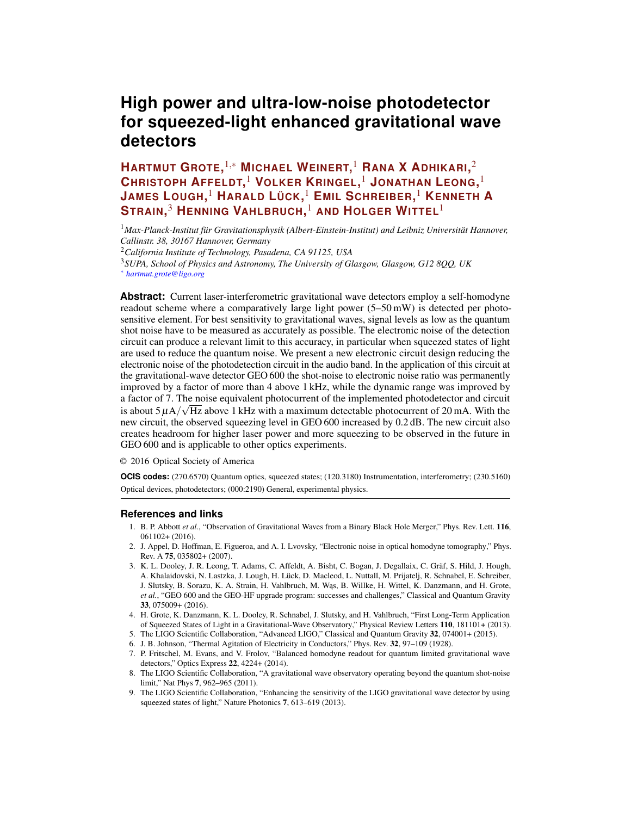# **High power and ultra-low-noise photodetector for squeezed-light enhanced gravitational wave detectors**

**HARTMUT GROTE,** <sup>1</sup>,<sup>∗</sup> **MICHAEL WEINERT,** <sup>1</sup> **RANA X ADHIKARI,** 2 **CHRISTOPH AFFELDT,** <sup>1</sup> **VOLKER KRINGEL,** <sup>1</sup> **JONATHAN LEONG,** 1 **JAMES LOUGH,** <sup>1</sup> **HARALD LÜCK,** <sup>1</sup> **EMIL SCHREIBER,** <sup>1</sup> **KENNETH A STRAIN,** <sup>3</sup> **HENNING VAHLBRUCH,** <sup>1</sup> **AND HOLGER WITTEL**<sup>1</sup>

<sup>1</sup>*Max-Planck-Institut für Gravitationsphysik (Albert-Einstein-Institut) and Leibniz Universität Hannover, Callinstr. 38, 30167 Hannover, Germany*

<sup>2</sup>*California Institute of Technology, Pasadena, CA 91125, USA*

<sup>3</sup>*SUPA, School of Physics and Astronomy, The University of Glasgow, Glasgow, G12 8QQ, UK*

<sup>∗</sup> *hartmut.grote@ligo.org*

**Abstract:** Current laser-interferometric gravitational wave detectors employ a self-homodyne readout scheme where a comparatively large light power  $(5-50 \text{ mW})$  is detected per photosensitive element. For best sensitivity to gravitational waves, signal levels as low as the quantum shot noise have to be measured as accurately as possible. The electronic noise of the detection circuit can produce a relevant limit to this accuracy, in particular when squeezed states of light are used to reduce the quantum noise. We present a new electronic circuit design reducing the electronic noise of the photodetection circuit in the audio band. In the application of this circuit at the gravitational-wave detector GEO 600 the shot-noise to electronic noise ratio was permanently improved by a factor of more than 4 above 1 kHz, while the dynamic range was improved by a factor of 7. The noise equivalent photocurrent of the implemented photodetector and circuit is about 5  $\mu$ A/ $\sqrt{$ Hz above 1 kHz with a maximum detectable photocurrent of 20 mA. With the new circuit, the observed squeezing level in GEO 600 increased by 0.2 dB. The new circuit also creates headroom for higher laser power and more squeezing to be observed in the future in GEO 600 and is applicable to other optics experiments.

© 2016 Optical Society of America

**OCIS codes:** (270.6570) Quantum optics, squeezed states; (120.3180) Instrumentation, interferometry; (230.5160) Optical devices, photodetectors; (000:2190) General, experimental physics.

## **References and links**

- <span id="page-1-0"></span>1. B. P. Abbott *et al.*, "Observation of Gravitational Waves from a Binary Black Hole Merger," Phys. Rev. Lett. 116, 061102+ (2016).
- <span id="page-1-1"></span>2. J. Appel, D. Hoffman, E. Figueroa, and A. I. Lvovsky, "Electronic noise in optical homodyne tomography," Phys. Rev. A 75, 035802+ (2007).
- <span id="page-1-2"></span>3. K. L. Dooley, J. R. Leong, T. Adams, C. Affeldt, A. Bisht, C. Bogan, J. Degallaix, C. Gräf, S. Hild, J. Hough, A. Khalaidovski, N. Lastzka, J. Lough, H. Lück, D. Macleod, L. Nuttall, M. Prijatelj, R. Schnabel, E. Schreiber, J. Slutsky, B. Sorazu, K. A. Strain, H. Vahlbruch, M. Was, B. Willke, H. Wittel, K. Danzmann, and H. Grote, *et al.*, "GEO 600 and the GEO-HF upgrade program: successes and challenges," Classical and Quantum Gravity 33, 075009+ (2016).
- <span id="page-1-3"></span>4. H. Grote, K. Danzmann, K. L. Dooley, R. Schnabel, J. Slutsky, and H. Vahlbruch, "First Long-Term Application of Squeezed States of Light in a Gravitational-Wave Observatory," Physical Review Letters 110, 181101+ (2013).
- <span id="page-1-4"></span>5. The LIGO Scientific Collaboration, "Advanced LIGO," Classical and Quantum Gravity 32, 074001+ (2015).
- <span id="page-1-5"></span>6. J. B. Johnson, "Thermal Agitation of Electricity in Conductors," Phys. Rev. 32, 97–109 (1928).
- <span id="page-1-6"></span>7. P. Fritschel, M. Evans, and V. Frolov, "Balanced homodyne readout for quantum limited gravitational wave detectors," Optics Express 22, 4224+ (2014).
- <span id="page-1-7"></span>8. The LIGO Scientific Collaboration, "A gravitational wave observatory operating beyond the quantum shot-noise limit," Nat Phys 7, 962–965 (2011).
- <span id="page-1-8"></span>9. The LIGO Scientific Collaboration, "Enhancing the sensitivity of the LIGO gravitational wave detector by using squeezed states of light," Nature Photonics 7, 613–619 (2013).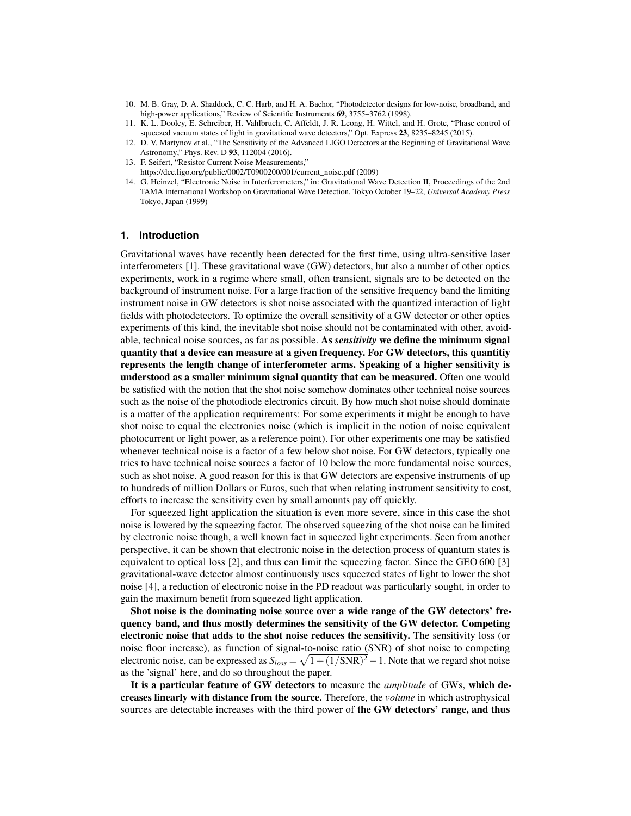- <span id="page-2-2"></span>10. M. B. Gray, D. A. Shaddock, C. C. Harb, and H. A. Bachor, "Photodetector designs for low-noise, broadband, and high-power applications," Review of Scientific Instruments 69, 3755-3762 (1998).
- <span id="page-2-4"></span>11. K. L. Dooley, E. Schreiber, H. Vahlbruch, C. Affeldt, J. R. Leong, H. Wittel, and H. Grote, "Phase control of squeezed vacuum states of light in gravitational wave detectors," Opt. Express 23, 8235–8245 (2015).
- <span id="page-2-0"></span>12. D. V. Martynov *e*t al., "The Sensitivity of the Advanced LIGO Detectors at the Beginning of Gravitational Wave Astronomy," Phys. Rev. D 93, 112004 (2016).
- <span id="page-2-1"></span>13. F. Seifert, "Resistor Current Noise Measurements,"
- https://dcc.ligo.org/public/0002/T0900200/001/current\_noise.pdf (2009)
- <span id="page-2-3"></span>14. G. Heinzel, "Electronic Noise in Interferometers," in: Gravitational Wave Detection II, Proceedings of the 2nd TAMA International Workshop on Gravitational Wave Detection, Tokyo October 19–22, *Universal Academy Press* Tokyo, Japan (1999)

## **1. Introduction**

Gravitational waves have recently been detected for the first time, using ultra-sensitive laser interferometers [\[1\]](#page-1-0). These gravitational wave (GW) detectors, but also a number of other optics experiments, work in a regime where small, often transient, signals are to be detected on the background of instrument noise. For a large fraction of the sensitive frequency band the limiting instrument noise in GW detectors is shot noise associated with the quantized interaction of light fields with photodetectors. To optimize the overall sensitivity of a GW detector or other optics experiments of this kind, the inevitable shot noise should not be contaminated with other, avoidable, technical noise sources, as far as possible. As *sensitivity* we define the minimum signal quantity that a device can measure at a given frequency. For GW detectors, this quantitiy represents the length change of interferometer arms. Speaking of a higher sensitivity is understood as a smaller minimum signal quantity that can be measured. Often one would be satisfied with the notion that the shot noise somehow dominates other technical noise sources such as the noise of the photodiode electronics circuit. By how much shot noise should dominate is a matter of the application requirements: For some experiments it might be enough to have shot noise to equal the electronics noise (which is implicit in the notion of noise equivalent photocurrent or light power, as a reference point). For other experiments one may be satisfied whenever technical noise is a factor of a few below shot noise. For GW detectors, typically one tries to have technical noise sources a factor of 10 below the more fundamental noise sources, such as shot noise. A good reason for this is that GW detectors are expensive instruments of up to hundreds of million Dollars or Euros, such that when relating instrument sensitivity to cost, efforts to increase the sensitivity even by small amounts pay off quickly.

For squeezed light application the situation is even more severe, since in this case the shot noise is lowered by the squeezing factor. The observed squeezing of the shot noise can be limited by electronic noise though, a well known fact in squeezed light experiments. Seen from another perspective, it can be shown that electronic noise in the detection process of quantum states is equivalent to optical loss [\[2\]](#page-1-1), and thus can limit the squeezing factor. Since the GEO 600 [\[3\]](#page-1-2) gravitational-wave detector almost continuously uses squeezed states of light to lower the shot noise [\[4\]](#page-1-3), a reduction of electronic noise in the PD readout was particularly sought, in order to gain the maximum benefit from squeezed light application.

Shot noise is the dominating noise source over a wide range of the GW detectors' frequency band, and thus mostly determines the sensitivity of the GW detector. Competing electronic noise that adds to the shot noise reduces the sensitivity. The sensitivity loss (or noise floor increase), as function of signal-to-noise ratio (SNR) of shot noise to competing electronic noise, can be expressed as  $S_{loss} = \sqrt{1 + (1/\text{SNR})^2} - 1$ . Note that we regard shot noise as the 'signal' here, and do so throughout the paper.

It is a particular feature of GW detectors to measure the *amplitude* of GWs, which decreases linearly with distance from the source. Therefore, the *volume* in which astrophysical sources are detectable increases with the third power of the GW detectors' range, and thus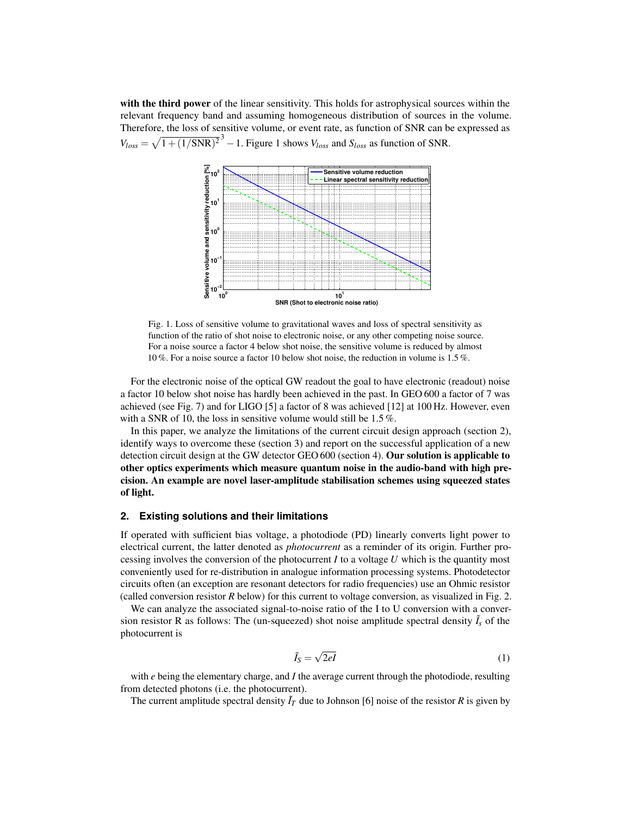with the third power of the linear sensitivity. This holds for astrophysical sources within the relevant frequency band and assuming homogeneous distribution of sources in the volume. Therefore, the loss of sensitive volume, or event rate, as function of SNR can be expressed as  $V_{loss} = \sqrt{1 + (1/\text{SNR})^2}^3 - 1$  $V_{loss} = \sqrt{1 + (1/\text{SNR})^2}^3 - 1$  $V_{loss} = \sqrt{1 + (1/\text{SNR})^2}^3 - 1$ . Figure 1 shows  $V_{loss}$  and  $S_{loss}$  as function of SNR.



<span id="page-3-0"></span>Fig. 1. Loss of sensitive volume to gravitational waves and loss of spectral sensitivity as function of the ratio of shot noise to electronic noise, or any other competing noise source. For a noise source a factor 4 below shot noise, the sensitive volume is reduced by almost 10 %. For a noise source a factor 10 below shot noise, the reduction in volume is 1.5 %.

For the electronic noise of the optical GW readout the goal to have electronic (readout) noise a factor 10 below shot noise has hardly been achieved in the past. In GEO 600 a factor of 7 was achieved (see Fig. [7\)](#page-9-0) and for LIGO [\[5\]](#page-1-4) a factor of 8 was achieved [\[12\]](#page-2-0) at 100 Hz. However, even with a SNR of 10, the loss in sensitive volume would still be 1.5%.

In this paper, we analyze the limitations of the current circuit design approach (section [2\)](#page-3-1), identify ways to overcome these (section [3\)](#page-6-0) and report on the successful application of a new detection circuit design at the GW detector GEO 600 (section [4\)](#page-8-0). Our solution is applicable to other optics experiments which measure quantum noise in the audio-band with high precision. An example are novel laser-amplitude stabilisation schemes using squeezed states of light.

#### <span id="page-3-1"></span>**2. Existing solutions and their limitations**

If operated with sufficient bias voltage, a photodiode (PD) linearly converts light power to electrical current, the latter denoted as *photocurrent* as a reminder of its origin. Further processing involves the conversion of the photocurrent *I* to a voltage *U* which is the quantity most conveniently used for re-distribution in analogue information processing systems. Photodetector circuits often (an exception are resonant detectors for radio frequencies) use an Ohmic resistor (called conversion resistor *R* below) for this current to voltage conversion, as visualized in Fig. [2.](#page-4-0)

We can analyze the associated signal-to-noise ratio of the I to U conversion with a conversion resistor R as follows: The (un-squeezed) shot noise amplitude spectral density  $\tilde{I}_s$  of the photocurrent is

<span id="page-3-2"></span>
$$
\tilde{I}_S = \sqrt{2eI} \tag{1}
$$

with *e* being the elementary charge, and *I* the average current through the photodiode, resulting from detected photons (i.e. the photocurrent).

The current amplitude spectral density  $\bar{I}_T$  due to Johnson [\[6\]](#page-1-5) noise of the resistor *R* is given by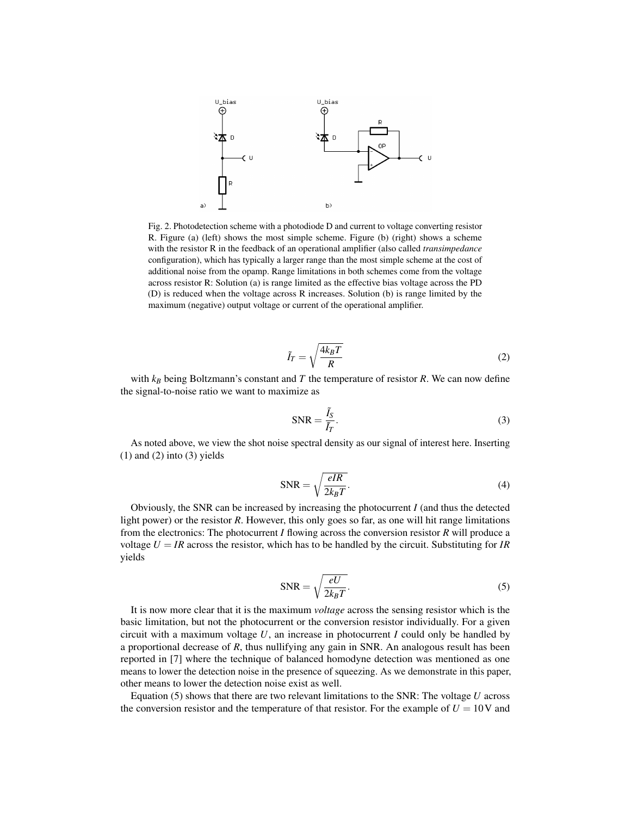

<span id="page-4-0"></span>Fig. 2. Photodetection scheme with a photodiode D and current to voltage converting resistor R. Figure (a) (left) shows the most simple scheme. Figure (b) (right) shows a scheme with the resistor R in the feedback of an operational amplifier (also called *transimpedance* configuration), which has typically a larger range than the most simple scheme at the cost of additional noise from the opamp. Range limitations in both schemes come from the voltage across resistor R: Solution (a) is range limited as the effective bias voltage across the PD (D) is reduced when the voltage across R increases. Solution (b) is range limited by the maximum (negative) output voltage or current of the operational amplifier.

<span id="page-4-1"></span>
$$
\tilde{I}_T = \sqrt{\frac{4k_B T}{R}}\tag{2}
$$

with *k<sup>B</sup>* being Boltzmann's constant and *T* the temperature of resistor *R*. We can now define the signal-to-noise ratio we want to maximize as

<span id="page-4-2"></span>
$$
SNR = \frac{\tilde{I}_S}{\tilde{I}_T}.
$$
\n(3)

As noted above, we view the shot noise spectral density as our signal of interest here. Inserting  $(1)$  and  $(2)$  into  $(3)$  yields

$$
SNR = \sqrt{\frac{eIR}{2k_BT}}.
$$
\n(4)

Obviously, the SNR can be increased by increasing the photocurrent *I* (and thus the detected light power) or the resistor *R*. However, this only goes so far, as one will hit range limitations from the electronics: The photocurrent *I* flowing across the conversion resistor *R* will produce a voltage  $U = IR$  across the resistor, which has to be handled by the circuit. Substituting for *IR* yields

<span id="page-4-3"></span>
$$
SNR = \sqrt{\frac{eU}{2k_BT}}.
$$
\n(5)

It is now more clear that it is the maximum *voltage* across the sensing resistor which is the basic limitation, but not the photocurrent or the conversion resistor individually. For a given circuit with a maximum voltage  $U$ , an increase in photocurrent  $I$  could only be handled by a proportional decrease of *R*, thus nullifying any gain in SNR. An analogous result has been reported in [\[7\]](#page-1-6) where the technique of balanced homodyne detection was mentioned as one means to lower the detection noise in the presence of squeezing. As we demonstrate in this paper, other means to lower the detection noise exist as well.

Equation [\(5\)](#page-4-3) shows that there are two relevant limitations to the SNR: The voltage *U* across the conversion resistor and the temperature of that resistor. For the example of  $U = 10V$  and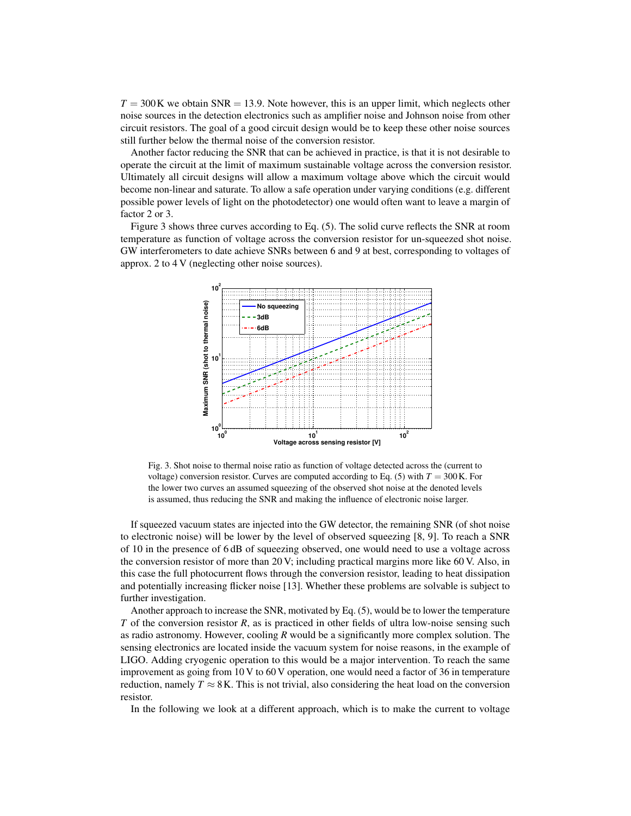$T = 300$ K we obtain SNR = 13.9. Note however, this is an upper limit, which neglects other noise sources in the detection electronics such as amplifier noise and Johnson noise from other circuit resistors. The goal of a good circuit design would be to keep these other noise sources still further below the thermal noise of the conversion resistor.

Another factor reducing the SNR that can be achieved in practice, is that it is not desirable to operate the circuit at the limit of maximum sustainable voltage across the conversion resistor. Ultimately all circuit designs will allow a maximum voltage above which the circuit would become non-linear and saturate. To allow a safe operation under varying conditions (e.g. different possible power levels of light on the photodetector) one would often want to leave a margin of factor 2 or 3.

Figure [3](#page-5-0) shows three curves according to Eq. [\(5\)](#page-4-3). The solid curve reflects the SNR at room temperature as function of voltage across the conversion resistor for un-squeezed shot noise. GW interferometers to date achieve SNRs between 6 and 9 at best, corresponding to voltages of approx. 2 to 4 V (neglecting other noise sources).



<span id="page-5-0"></span>Fig. 3. Shot noise to thermal noise ratio as function of voltage detected across the (current to voltage) conversion resistor. Curves are computed according to Eq. [\(5\)](#page-4-3) with  $T = 300$  K. For the lower two curves an assumed squeezing of the observed shot noise at the denoted levels is assumed, thus reducing the SNR and making the influence of electronic noise larger.

If squeezed vacuum states are injected into the GW detector, the remaining SNR (of shot noise to electronic noise) will be lower by the level of observed squeezing [\[8,](#page-1-7) [9\]](#page-1-8). To reach a SNR of 10 in the presence of 6 dB of squeezing observed, one would need to use a voltage across the conversion resistor of more than 20 V; including practical margins more like 60 V. Also, in this case the full photocurrent flows through the conversion resistor, leading to heat dissipation and potentially increasing flicker noise [\[13\]](#page-2-1). Whether these problems are solvable is subject to further investigation.

Another approach to increase the SNR, motivated by Eq. [\(5\)](#page-4-3), would be to lower the temperature *T* of the conversion resistor *R*, as is practiced in other fields of ultra low-noise sensing such as radio astronomy. However, cooling *R* would be a significantly more complex solution. The sensing electronics are located inside the vacuum system for noise reasons, in the example of LIGO. Adding cryogenic operation to this would be a major intervention. To reach the same improvement as going from 10 V to 60 V operation, one would need a factor of 36 in temperature reduction, namely  $T \approx 8$  K. This is not trivial, also considering the heat load on the conversion resistor.

In the following we look at a different approach, which is to make the current to voltage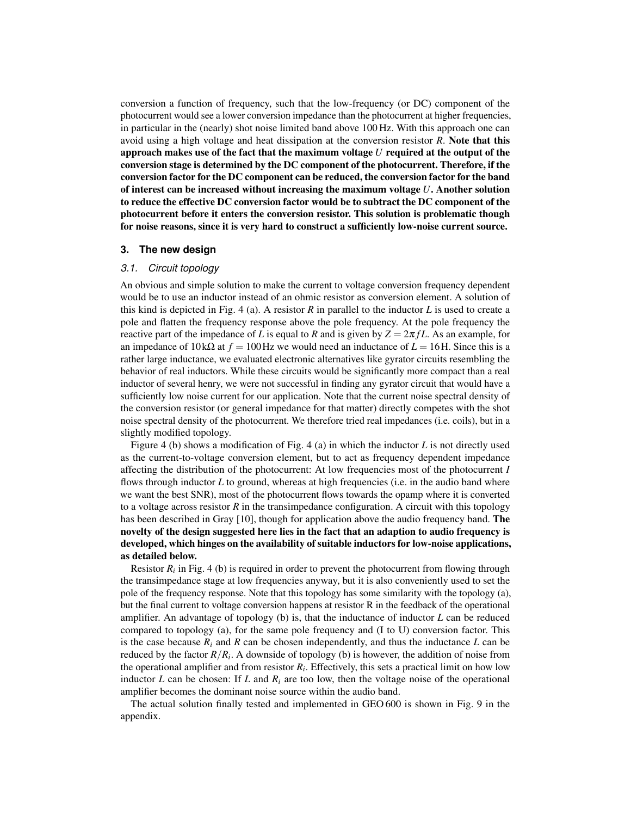conversion a function of frequency, such that the low-frequency (or DC) component of the photocurrent would see a lower conversion impedance than the photocurrent at higher frequencies, in particular in the (nearly) shot noise limited band above 100 Hz. With this approach one can avoid using a high voltage and heat dissipation at the conversion resistor *R*. Note that this approach makes use of the fact that the maximum voltage *U* required at the output of the conversion stage is determined by the DC component of the photocurrent. Therefore, if the conversion factor for the DC component can be reduced, the conversion factor for the band of interest can be increased without increasing the maximum voltage *U*. Another solution to reduce the effective DC conversion factor would be to subtract the DC component of the photocurrent before it enters the conversion resistor. This solution is problematic though for noise reasons, since it is very hard to construct a sufficiently low-noise current source.

## <span id="page-6-0"></span>**3. The new design**

# *3.1. Circuit topology*

An obvious and simple solution to make the current to voltage conversion frequency dependent would be to use an inductor instead of an ohmic resistor as conversion element. A solution of this kind is depicted in Fig. [4](#page-7-0) (a). A resistor *R* in parallel to the inductor *L* is used to create a pole and flatten the frequency response above the pole frequency. At the pole frequency the reactive part of the impedance of *L* is equal to *R* and is given by  $Z = 2\pi fL$ . As an example, for an impedance of  $10 \text{ k}\Omega$  at  $f = 100 \text{ Hz}$  we would need an inductance of  $L = 16 \text{ H}$ . Since this is a rather large inductance, we evaluated electronic alternatives like gyrator circuits resembling the behavior of real inductors. While these circuits would be significantly more compact than a real inductor of several henry, we were not successful in finding any gyrator circuit that would have a sufficiently low noise current for our application. Note that the current noise spectral density of the conversion resistor (or general impedance for that matter) directly competes with the shot noise spectral density of the photocurrent. We therefore tried real impedances (i.e. coils), but in a slightly modified topology.

Figure [4](#page-7-0) (b) shows a modification of Fig. [4](#page-7-0) (a) in which the inductor *L* is not directly used as the current-to-voltage conversion element, but to act as frequency dependent impedance affecting the distribution of the photocurrent: At low frequencies most of the photocurrent *I* flows through inductor *L* to ground, whereas at high frequencies (i.e. in the audio band where we want the best SNR), most of the photocurrent flows towards the opamp where it is converted to a voltage across resistor  $R$  in the transimpedance configuration. A circuit with this topology has been described in Gray [\[10\]](#page-2-2), though for application above the audio frequency band. **The** novelty of the design suggested here lies in the fact that an adaption to audio frequency is developed, which hinges on the availability of suitable inductors for low-noise applications, as detailed below.

Resistor  $R_i$  in Fig. [4](#page-7-0) (b) is required in order to prevent the photocurrent from flowing through the transimpedance stage at low frequencies anyway, but it is also conveniently used to set the pole of the frequency response. Note that this topology has some similarity with the topology (a), but the final current to voltage conversion happens at resistor R in the feedback of the operational amplifier. An advantage of topology (b) is, that the inductance of inductor *L* can be reduced compared to topology (a), for the same pole frequency and (I to U) conversion factor. This is the case because  $R_i$  and  $R$  can be chosen independently, and thus the inductance  $L$  can be reduced by the factor *R*/*R<sup>i</sup>* . A downside of topology (b) is however, the addition of noise from the operational amplifier and from resistor *R<sup>i</sup>* . Effectively, this sets a practical limit on how low inductor *L* can be chosen: If *L* and  $R_i$  are too low, then the voltage noise of the operational amplifier becomes the dominant noise source within the audio band.

The actual solution finally tested and implemented in GEO 600 is shown in Fig. [9](#page-11-0) in the appendix.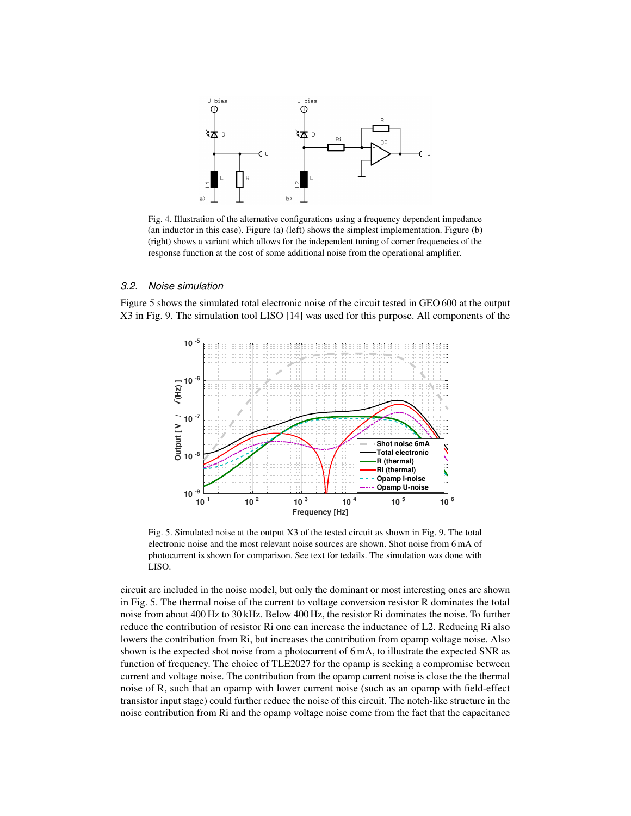

<span id="page-7-0"></span>Fig. 4. Illustration of the alternative configurations using a frequency dependent impedance (an inductor in this case). Figure (a) (left) shows the simplest implementation. Figure (b) (right) shows a variant which allows for the independent tuning of corner frequencies of the response function at the cost of some additional noise from the operational amplifier.

## *3.2. Noise simulation*

Figure [5](#page-7-1) shows the simulated total electronic noise of the circuit tested in GEO 600 at the output X3 in Fig. [9.](#page-11-0) The simulation tool LISO [\[14\]](#page-2-3) was used for this purpose. All components of the



<span id="page-7-1"></span>Fig. 5. Simulated noise at the output X3 of the tested circuit as shown in Fig. [9.](#page-11-0) The total electronic noise and the most relevant noise sources are shown. Shot noise from 6 mA of photocurrent is shown for comparison. See text for tedails. The simulation was done with LISO.

circuit are included in the noise model, but only the dominant or most interesting ones are shown in Fig. [5.](#page-7-1) The thermal noise of the current to voltage conversion resistor R dominates the total noise from about 400 Hz to 30 kHz. Below 400 Hz, the resistor Ri dominates the noise. To further reduce the contribution of resistor Ri one can increase the inductance of L2. Reducing Ri also lowers the contribution from Ri, but increases the contribution from opamp voltage noise. Also shown is the expected shot noise from a photocurrent of 6 mA, to illustrate the expected SNR as function of frequency. The choice of TLE2027 for the opamp is seeking a compromise between current and voltage noise. The contribution from the opamp current noise is close the the thermal noise of R, such that an opamp with lower current noise (such as an opamp with field-effect transistor input stage) could further reduce the noise of this circuit. The notch-like structure in the noise contribution from Ri and the opamp voltage noise come from the fact that the capacitance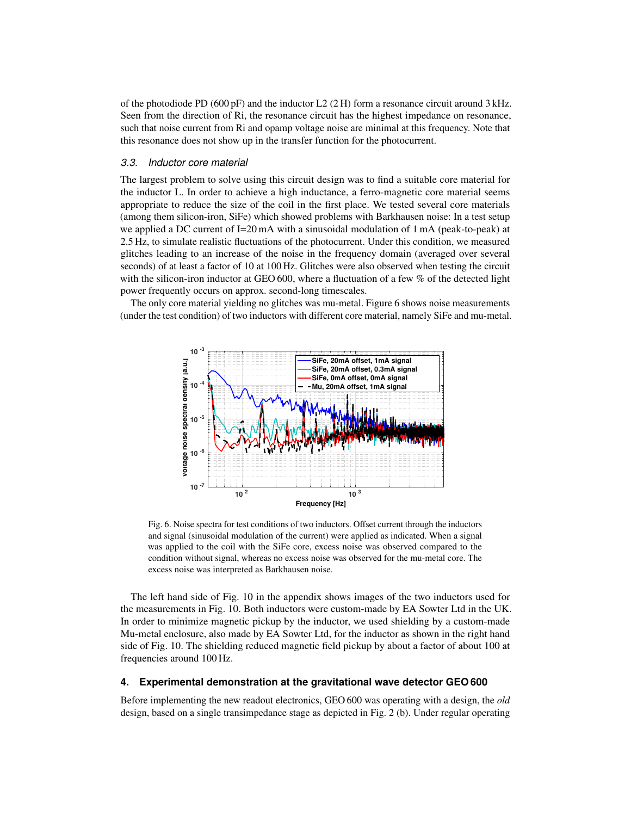of the photodiode PD (600 pF) and the inductor L2 (2 H) form a resonance circuit around 3 kHz. Seen from the direction of Ri, the resonance circuit has the highest impedance on resonance, such that noise current from Ri and opamp voltage noise are minimal at this frequency. Note that this resonance does not show up in the transfer function for the photocurrent.

#### *3.3. Inductor core material*

The largest problem to solve using this circuit design was to find a suitable core material for the inductor L. In order to achieve a high inductance, a ferro-magnetic core material seems appropriate to reduce the size of the coil in the first place. We tested several core materials (among them silicon-iron, SiFe) which showed problems with Barkhausen noise: In a test setup we applied a DC current of I=20 mA with a sinusoidal modulation of 1 mA (peak-to-peak) at 2.5 Hz, to simulate realistic fluctuations of the photocurrent. Under this condition, we measured glitches leading to an increase of the noise in the frequency domain (averaged over several seconds) of at least a factor of 10 at 100 Hz. Glitches were also observed when testing the circuit with the silicon-iron inductor at GEO 600, where a fluctuation of a few  $\%$  of the detected light power frequently occurs on approx. second-long timescales.

The only core material yielding no glitches was mu-metal. Figure [6](#page-8-1) shows noise measurements (under the test condition) of two inductors with different core material, namely SiFe and mu-metal.



<span id="page-8-1"></span>Fig. 6. Noise spectra for test conditions of two inductors. Offset current through the inductors and signal (sinusoidal modulation of the current) were applied as indicated. When a signal was applied to the coil with the SiFe core, excess noise was observed compared to the condition without signal, whereas no excess noise was observed for the mu-metal core. The excess noise was interpreted as Barkhausen noise.

The left hand side of Fig. [10](#page-12-0) in the appendix shows images of the two inductors used for the measurements in Fig. [10.](#page-12-0) Both inductors were custom-made by EA Sowter Ltd in the UK. In order to minimize magnetic pickup by the inductor, we used shielding by a custom-made Mu-metal enclosure, also made by EA Sowter Ltd, for the inductor as shown in the right hand side of Fig. [10.](#page-12-0) The shielding reduced magnetic field pickup by about a factor of about 100 at frequencies around 100 Hz.

#### <span id="page-8-0"></span>**4. Experimental demonstration at the gravitational wave detector GEO 600**

Before implementing the new readout electronics, GEO 600 was operating with a design, the *old* design, based on a single transimpedance stage as depicted in Fig. [2](#page-4-0) (b). Under regular operating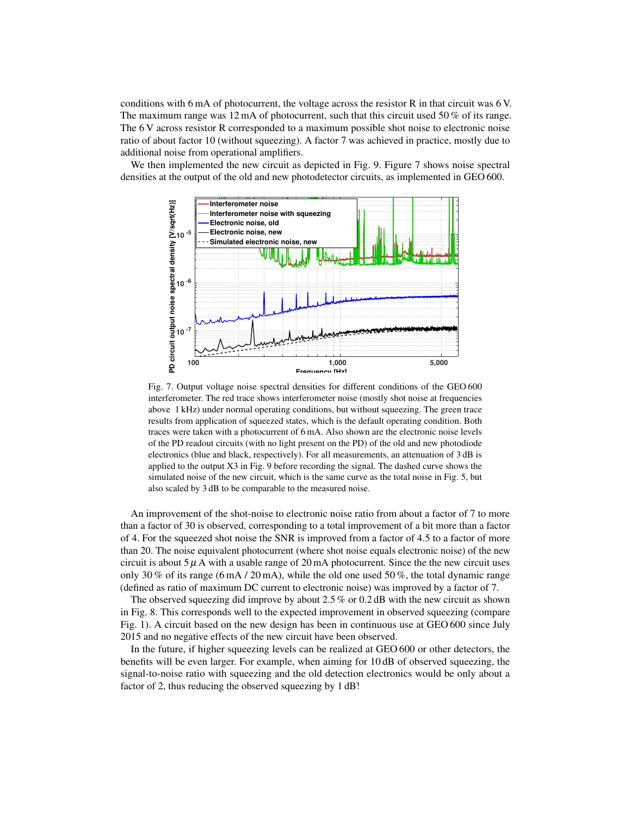conditions with 6 mA of photocurrent, the voltage across the resistor R in that circuit was 6 V. The maximum range was  $12 \text{ mA}$  of photocurrent, such that this circuit used 50% of its range. The 6 V across resistor R corresponded to a maximum possible shot noise to electronic noise ratio of about factor 10 (without squeezing). A factor 7 was achieved in practice, mostly due to additional noise from operational amplifiers.

We then implemented the new circuit as depicted in Fig. [9.](#page-11-0) Figure [7](#page-9-0) shows noise spectral densities at the output of the old and new photodetector circuits, as implemented in GEO 600.



<span id="page-9-0"></span>Fig. 7. Output voltage noise spectral densities for different conditions of the GEO 600 interferometer. The red trace shows interferometer noise (mostly shot noise at frequencies above 1 kHz) under normal operating conditions, but without squeezing. The green trace results from application of squeezed states, which is the default operating condition. Both traces were taken with a photocurrent of 6 mA. Also shown are the electronic noise levels of the PD readout circuits (with no light present on the PD) of the old and new photodiode electronics (blue and black, respectively). For all measurements, an attenuation of 3 dB is applied to the output X3 in Fig. [9](#page-11-0) before recording the signal. The dashed curve shows the simulated noise of the new circuit, which is the same curve as the total noise in Fig. [5,](#page-7-1) but also scaled by 3 dB to be comparable to the measured noise.

An improvement of the shot-noise to electronic noise ratio from about a factor of 7 to more than a factor of 30 is observed, corresponding to a total improvement of a bit more than a factor of 4. For the squeezed shot noise the SNR is improved from a factor of 4.5 to a factor of more than 20. The noise equivalent photocurrent (where shot noise equals electronic noise) of the new circuit is about  $5 \mu$  A with a usable range of 20 mA photocurrent. Since the the new circuit uses only 30 % of its range (6 mA / 20 mA), while the old one used 50 %, the total dynamic range (defined as ratio of maximum DC current to electronic noise) was improved by a factor of 7.

The observed squeezing did improve by about 2.5 % or 0.2 dB with the new circuit as shown in Fig. [8.](#page-10-0) This corresponds well to the expected improvement in observed squeezing (compare Fig. [1\)](#page-3-0). A circuit based on the new design has been in continuous use at GEO 600 since July 2015 and no negative effects of the new circuit have been observed.

In the future, if higher squeezing levels can be realized at GEO 600 or other detectors, the benefits will be even larger. For example, when aiming for 10 dB of observed squeezing, the signal-to-noise ratio with squeezing and the old detection electronics would be only about a factor of 2, thus reducing the observed squeezing by 1 dB!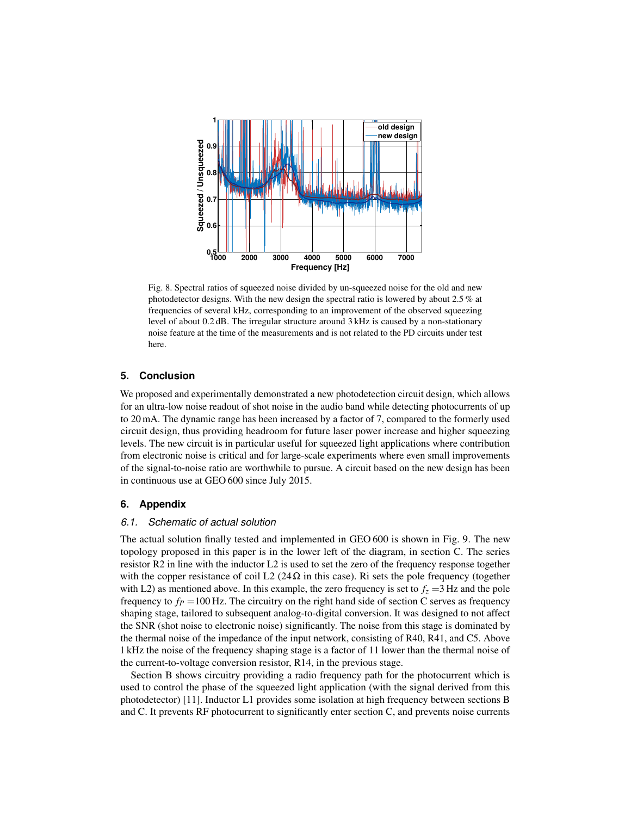

<span id="page-10-0"></span>Fig. 8. Spectral ratios of squeezed noise divided by un-squeezed noise for the old and new photodetector designs. With the new design the spectral ratio is lowered by about 2.5 % at frequencies of several kHz, corresponding to an improvement of the observed squeezing level of about 0.2 dB. The irregular structure around 3 kHz is caused by a non-stationary noise feature at the time of the measurements and is not related to the PD circuits under test here.

# **5. Conclusion**

We proposed and experimentally demonstrated a new photodetection circuit design, which allows for an ultra-low noise readout of shot noise in the audio band while detecting photocurrents of up to 20 mA. The dynamic range has been increased by a factor of 7, compared to the formerly used circuit design, thus providing headroom for future laser power increase and higher squeezing levels. The new circuit is in particular useful for squeezed light applications where contribution from electronic noise is critical and for large-scale experiments where even small improvements of the signal-to-noise ratio are worthwhile to pursue. A circuit based on the new design has been in continuous use at GEO 600 since July 2015.

# **6. Appendix**

## *6.1. Schematic of actual solution*

The actual solution finally tested and implemented in GEO 600 is shown in Fig. [9.](#page-11-0) The new topology proposed in this paper is in the lower left of the diagram, in section C. The series resistor R2 in line with the inductor L2 is used to set the zero of the frequency response together with the copper resistance of coil L2 (24 $\Omega$  in this case). Ri sets the pole frequency (together with L2) as mentioned above. In this example, the zero frequency is set to  $f<sub>z</sub> = 3$  Hz and the pole frequency to  $f<sub>P</sub> = 100$  Hz. The circuitry on the right hand side of section C serves as frequency shaping stage, tailored to subsequent analog-to-digital conversion. It was designed to not affect the SNR (shot noise to electronic noise) significantly. The noise from this stage is dominated by the thermal noise of the impedance of the input network, consisting of R40, R41, and C5. Above 1 kHz the noise of the frequency shaping stage is a factor of 11 lower than the thermal noise of the current-to-voltage conversion resistor, R14, in the previous stage.

Section B shows circuitry providing a radio frequency path for the photocurrent which is used to control the phase of the squeezed light application (with the signal derived from this photodetector) [\[11\]](#page-2-4). Inductor L1 provides some isolation at high frequency between sections B and C. It prevents RF photocurrent to significantly enter section C, and prevents noise currents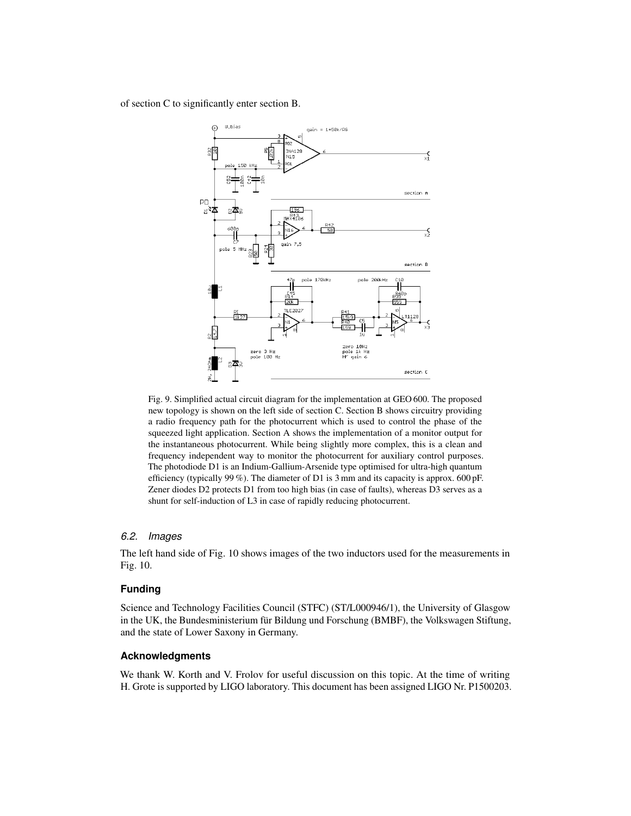## of section C to significantly enter section B.



<span id="page-11-0"></span>Fig. 9. Simplified actual circuit diagram for the implementation at GEO 600. The proposed new topology is shown on the left side of section C. Section B shows circuitry providing a radio frequency path for the photocurrent which is used to control the phase of the squeezed light application. Section A shows the implementation of a monitor output for the instantaneous photocurrent. While being slightly more complex, this is a clean and frequency independent way to monitor the photocurrent for auxiliary control purposes. The photodiode D1 is an Indium-Gallium-Arsenide type optimised for ultra-high quantum efficiency (typically 99 %). The diameter of D1 is 3 mm and its capacity is approx. 600 pF. Zener diodes D2 protects D1 from too high bias (in case of faults), whereas D3 serves as a shunt for self-induction of L3 in case of rapidly reducing photocurrent.

## *6.2. Images*

The left hand side of Fig. [10](#page-12-0) shows images of the two inductors used for the measurements in Fig. [10.](#page-12-0)

# **Funding**

Science and Technology Facilities Council (STFC) (ST/L000946/1), the University of Glasgow in the UK, the Bundesministerium für Bildung und Forschung (BMBF), the Volkswagen Stiftung, and the state of Lower Saxony in Germany.

## **Acknowledgments**

We thank W. Korth and V. Frolov for useful discussion on this topic. At the time of writing H. Grote is supported by LIGO laboratory. This document has been assigned LIGO Nr. P1500203.